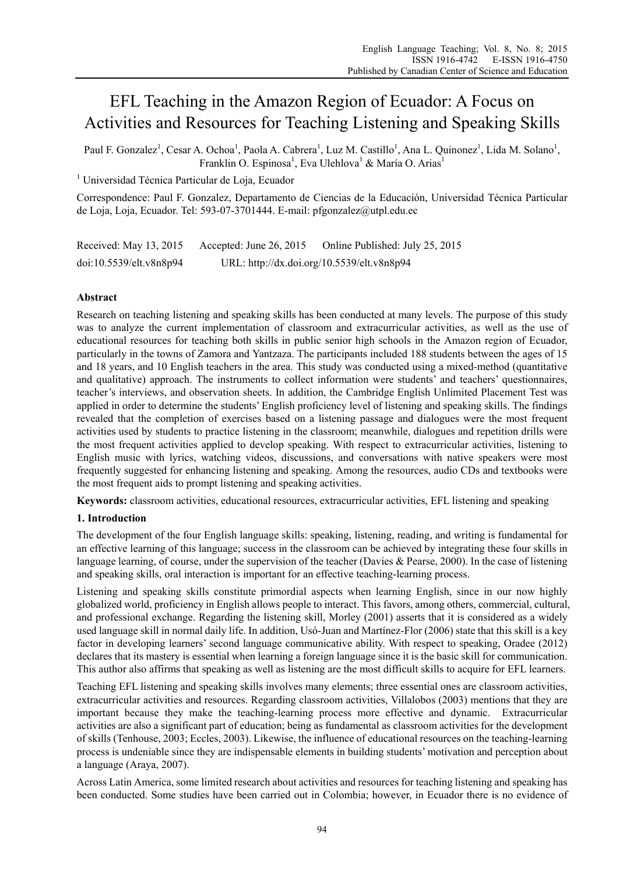# EFL Teaching in the Amazon Region of Ecuador: A Focus on Activities and Resources for Teaching Listening and Speaking Skills

Paul F. Gonzalez<sup>1</sup>, Cesar A. Ochoa<sup>1</sup>, Paola A. Cabrera<sup>1</sup>, Luz M. Castillo<sup>1</sup>, Ana L. Quinonez<sup>1</sup>, Lida M. Solano<sup>1</sup>, Franklin O. Espinosa<sup>1</sup>, Eva Ulehlova<sup>1</sup> & María O. Arias<sup>1</sup>

<sup>1</sup> Universidad Técnica Particular de Loja, Ecuador

Correspondence: Paul F. Gonzalez, Departamento de Ciencias de la Educación, Universidad Técnica Particular de Loja, Loja, Ecuador. Tel: 593-07-3701444. E-mail: pfgonzalez@utpl.edu.ec

Received: May 13, 2015 Accepted: June 26, 2015 Online Published: July 25, 2015 doi:10.5539/elt.v8n8p94 URL: http://dx.doi.org/10.5539/elt.v8n8p94

## **Abstract**

Research on teaching listening and speaking skills has been conducted at many levels. The purpose of this study was to analyze the current implementation of classroom and extracurricular activities, as well as the use of educational resources for teaching both skills in public senior high schools in the Amazon region of Ecuador, particularly in the towns of Zamora and Yantzaza. The participants included 188 students between the ages of 15 and 18 years, and 10 English teachers in the area. This study was conducted using a mixed-method (quantitative and qualitative) approach. The instruments to collect information were students' and teachers' questionnaires, teacher's interviews, and observation sheets. In addition, the Cambridge English Unlimited Placement Test was applied in order to determine the students' English proficiency level of listening and speaking skills. The findings revealed that the completion of exercises based on a listening passage and dialogues were the most frequent activities used by students to practice listening in the classroom; meanwhile, dialogues and repetition drills were the most frequent activities applied to develop speaking. With respect to extracurricular activities, listening to English music with lyrics, watching videos, discussions, and conversations with native speakers were most frequently suggested for enhancing listening and speaking. Among the resources, audio CDs and textbooks were the most frequent aids to prompt listening and speaking activities.

**Keywords:** classroom activities, educational resources, extracurricular activities, EFL listening and speaking

## **1. Introduction**

The development of the four English language skills: speaking, listening, reading, and writing is fundamental for an effective learning of this language; success in the classroom can be achieved by integrating these four skills in language learning, of course, under the supervision of the teacher (Davies & Pearse, 2000). In the case of listening and speaking skills, oral interaction is important for an effective teaching-learning process.

Listening and speaking skills constitute primordial aspects when learning English, since in our now highly globalized world, proficiency in English allows people to interact. This favors, among others, commercial, cultural, and professional exchange. Regarding the listening skill, Morley (2001) asserts that it is considered as a widely used language skill in normal daily life. In addition, Usó-Juan and Martínez-Flor (2006) state that this skill is a key factor in developing learners' second language communicative ability. With respect to speaking, Oradee (2012) declares that its mastery is essential when learning a foreign language since it is the basic skill for communication. This author also affirms that speaking as well as listening are the most difficult skills to acquire for EFL learners.

Teaching EFL listening and speaking skills involves many elements; three essential ones are classroom activities, extracurricular activities and resources. Regarding classroom activities, Villalobos (2003) mentions that they are important because they make the teaching-learning process more effective and dynamic. Extracurricular activities are also a significant part of education; being as fundamental as classroom activities for the development of skills (Tenhouse, 2003; Eccles, 2003). Likewise, the influence of educational resources on the teaching-learning process is undeniable since they are indispensable elements in building students' motivation and perception about a language (Araya, 2007).

Across Latin America, some limited research about activities and resources for teaching listening and speaking has been conducted. Some studies have been carried out in Colombia; however, in Ecuador there is no evidence of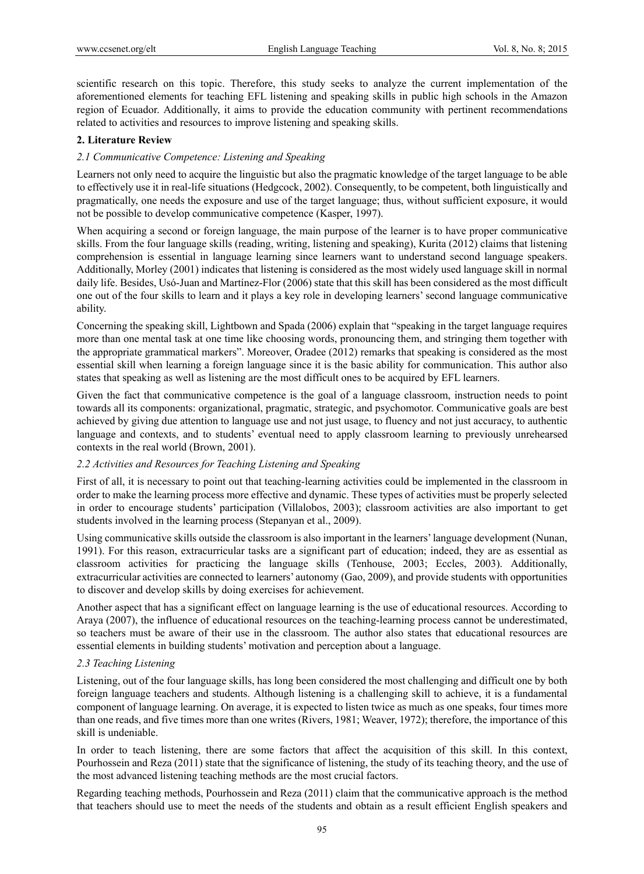scientific research on this topic. Therefore, this study seeks to analyze the current implementation of the aforementioned elements for teaching EFL listening and speaking skills in public high schools in the Amazon region of Ecuador. Additionally, it aims to provide the education community with pertinent recommendations related to activities and resources to improve listening and speaking skills.

#### **2. Literature Review**

#### *2.1 Communicative Competence: Listening and Speaking*

Learners not only need to acquire the linguistic but also the pragmatic knowledge of the target language to be able to effectively use it in real-life situations (Hedgcock, 2002). Consequently, to be competent, both linguistically and pragmatically, one needs the exposure and use of the target language; thus, without sufficient exposure, it would not be possible to develop communicative competence (Kasper, 1997).

When acquiring a second or foreign language, the main purpose of the learner is to have proper communicative skills. From the four language skills (reading, writing, listening and speaking), Kurita (2012) claims that listening comprehension is essential in language learning since learners want to understand second language speakers. Additionally, Morley (2001) indicates that listening is considered as the most widely used language skill in normal daily life. Besides, Usó-Juan and Martínez-Flor (2006) state that this skill has been considered as the most difficult one out of the four skills to learn and it plays a key role in developing learners' second language communicative ability.

Concerning the speaking skill, Lightbown and Spada (2006) explain that "speaking in the target language requires more than one mental task at one time like choosing words, pronouncing them, and stringing them together with the appropriate grammatical markers". Moreover, Oradee (2012) remarks that speaking is considered as the most essential skill when learning a foreign language since it is the basic ability for communication. This author also states that speaking as well as listening are the most difficult ones to be acquired by EFL learners.

Given the fact that communicative competence is the goal of a language classroom, instruction needs to point towards all its components: organizational, pragmatic, strategic, and psychomotor. Communicative goals are best achieved by giving due attention to language use and not just usage, to fluency and not just accuracy, to authentic language and contexts, and to students' eventual need to apply classroom learning to previously unrehearsed contexts in the real world (Brown, 2001).

## *2.2 Activities and Resources for Teaching Listening and Speaking*

First of all, it is necessary to point out that teaching-learning activities could be implemented in the classroom in order to make the learning process more effective and dynamic. These types of activities must be properly selected in order to encourage students' participation (Villalobos, 2003); classroom activities are also important to get students involved in the learning process (Stepanyan et al., 2009).

Using communicative skills outside the classroom is also important in the learners' language development (Nunan, 1991). For this reason, extracurricular tasks are a significant part of education; indeed, they are as essential as classroom activities for practicing the language skills (Tenhouse, 2003; Eccles, 2003). Additionally, extracurricular activities are connected to learners' autonomy (Gao, 2009), and provide students with opportunities to discover and develop skills by doing exercises for achievement.

Another aspect that has a significant effect on language learning is the use of educational resources. According to Araya (2007), the influence of educational resources on the teaching-learning process cannot be underestimated, so teachers must be aware of their use in the classroom. The author also states that educational resources are essential elements in building students' motivation and perception about a language.

## *2.3 Teaching Listening*

Listening, out of the four language skills, has long been considered the most challenging and difficult one by both foreign language teachers and students. Although listening is a challenging skill to achieve, it is a fundamental component of language learning. On average, it is expected to listen twice as much as one speaks, four times more than one reads, and five times more than one writes (Rivers, 1981; Weaver, 1972); therefore, the importance of this skill is undeniable.

In order to teach listening, there are some factors that affect the acquisition of this skill. In this context, Pourhossein and Reza (2011) state that the significance of listening, the study of its teaching theory, and the use of the most advanced listening teaching methods are the most crucial factors.

Regarding teaching methods, Pourhossein and Reza (2011) claim that the communicative approach is the method that teachers should use to meet the needs of the students and obtain as a result efficient English speakers and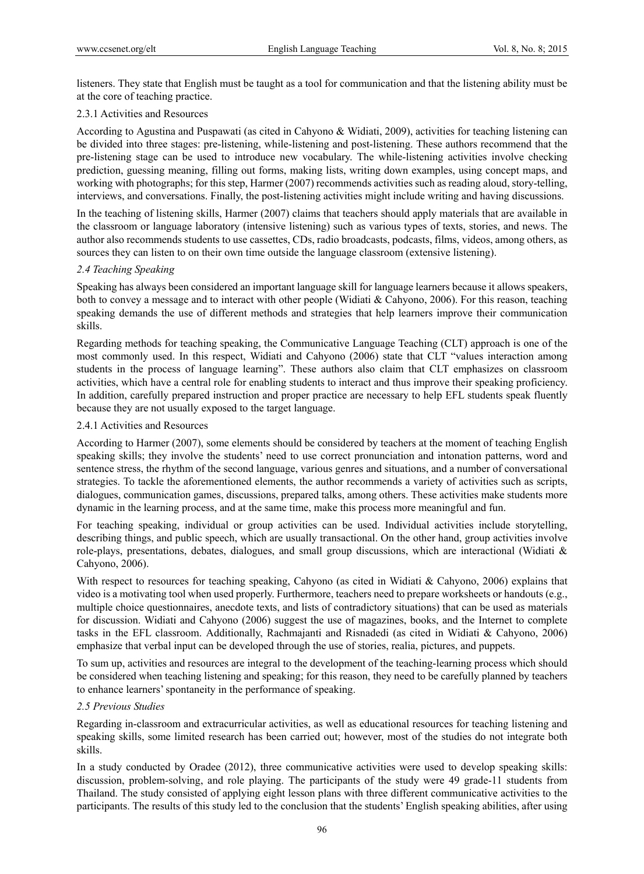listeners. They state that English must be taught as a tool for communication and that the listening ability must be at the core of teaching practice.

#### 2.3.1 Activities and Resources

According to Agustina and Puspawati (as cited in Cahyono & Widiati, 2009), activities for teaching listening can be divided into three stages: pre-listening, while-listening and post-listening. These authors recommend that the pre-listening stage can be used to introduce new vocabulary. The while-listening activities involve checking prediction, guessing meaning, filling out forms, making lists, writing down examples, using concept maps, and working with photographs; for this step, Harmer (2007) recommends activities such as reading aloud, story-telling, interviews, and conversations. Finally, the post-listening activities might include writing and having discussions.

In the teaching of listening skills, Harmer (2007) claims that teachers should apply materials that are available in the classroom or language laboratory (intensive listening) such as various types of texts, stories, and news. The author also recommends students to use cassettes, CDs, radio broadcasts, podcasts, films, videos, among others, as sources they can listen to on their own time outside the language classroom (extensive listening).

#### *2.4 Teaching Speaking*

Speaking has always been considered an important language skill for language learners because it allows speakers, both to convey a message and to interact with other people (Widiati & Cahyono, 2006). For this reason, teaching speaking demands the use of different methods and strategies that help learners improve their communication skills.

Regarding methods for teaching speaking, the Communicative Language Teaching (CLT) approach is one of the most commonly used. In this respect, Widiati and Cahyono (2006) state that CLT "values interaction among students in the process of language learning". These authors also claim that CLT emphasizes on classroom activities, which have a central role for enabling students to interact and thus improve their speaking proficiency. In addition, carefully prepared instruction and proper practice are necessary to help EFL students speak fluently because they are not usually exposed to the target language.

#### 2.4.1 Activities and Resources

According to Harmer (2007), some elements should be considered by teachers at the moment of teaching English speaking skills; they involve the students' need to use correct pronunciation and intonation patterns, word and sentence stress, the rhythm of the second language, various genres and situations, and a number of conversational strategies. To tackle the aforementioned elements, the author recommends a variety of activities such as scripts, dialogues, communication games, discussions, prepared talks, among others. These activities make students more dynamic in the learning process, and at the same time, make this process more meaningful and fun.

For teaching speaking, individual or group activities can be used. Individual activities include storytelling, describing things, and public speech, which are usually transactional. On the other hand, group activities involve role-plays, presentations, debates, dialogues, and small group discussions, which are interactional (Widiati & Cahyono, 2006).

With respect to resources for teaching speaking, Cahyono (as cited in Widiati & Cahyono, 2006) explains that video is a motivating tool when used properly. Furthermore, teachers need to prepare worksheets or handouts (e.g., multiple choice questionnaires, anecdote texts, and lists of contradictory situations) that can be used as materials for discussion. Widiati and Cahyono (2006) suggest the use of magazines, books, and the Internet to complete tasks in the EFL classroom. Additionally, Rachmajanti and Risnadedi (as cited in Widiati & Cahyono, 2006) emphasize that verbal input can be developed through the use of stories, realia, pictures, and puppets.

To sum up, activities and resources are integral to the development of the teaching-learning process which should be considered when teaching listening and speaking; for this reason, they need to be carefully planned by teachers to enhance learners' spontaneity in the performance of speaking.

#### *2.5 Previous Studies*

Regarding in-classroom and extracurricular activities, as well as educational resources for teaching listening and speaking skills, some limited research has been carried out; however, most of the studies do not integrate both skills.

In a study conducted by Oradee (2012), three communicative activities were used to develop speaking skills: discussion, problem-solving, and role playing. The participants of the study were 49 grade-11 students from Thailand. The study consisted of applying eight lesson plans with three different communicative activities to the participants. The results of this study led to the conclusion that the students' English speaking abilities, after using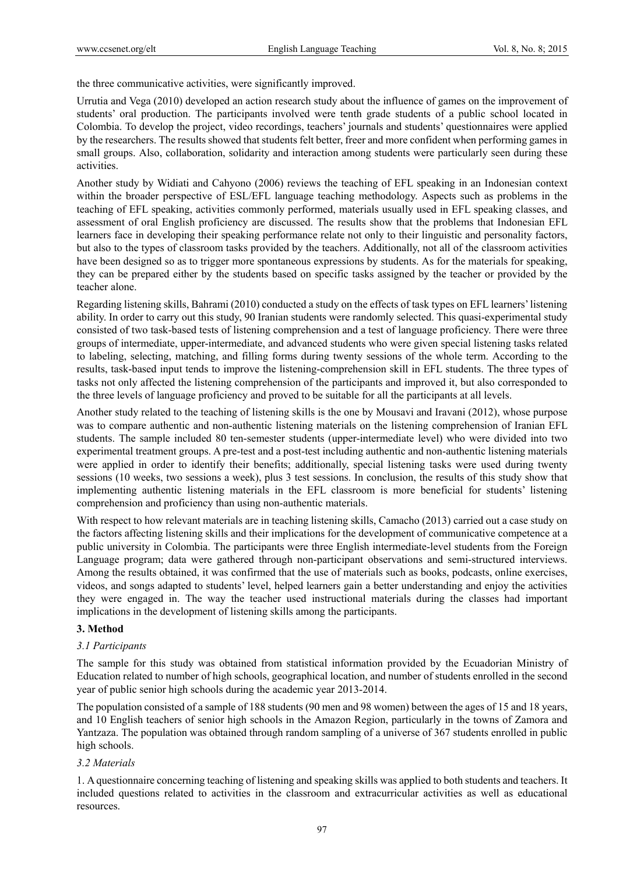the three communicative activities, were significantly improved.

Urrutia and Vega (2010) developed an action research study about the influence of games on the improvement of students' oral production. The participants involved were tenth grade students of a public school located in Colombia. To develop the project, video recordings, teachers' journals and students' questionnaires were applied by the researchers. The results showed that students felt better, freer and more confident when performing games in small groups. Also, collaboration, solidarity and interaction among students were particularly seen during these activities.

Another study by Widiati and Cahyono (2006) reviews the teaching of EFL speaking in an Indonesian context within the broader perspective of ESL/EFL language teaching methodology. Aspects such as problems in the teaching of EFL speaking, activities commonly performed, materials usually used in EFL speaking classes, and assessment of oral English proficiency are discussed. The results show that the problems that Indonesian EFL learners face in developing their speaking performance relate not only to their linguistic and personality factors, but also to the types of classroom tasks provided by the teachers. Additionally, not all of the classroom activities have been designed so as to trigger more spontaneous expressions by students. As for the materials for speaking, they can be prepared either by the students based on specific tasks assigned by the teacher or provided by the teacher alone.

Regarding listening skills, Bahrami (2010) conducted a study on the effects of task types on EFL learners' listening ability. In order to carry out this study, 90 Iranian students were randomly selected. This quasi-experimental study consisted of two task-based tests of listening comprehension and a test of language proficiency. There were three groups of intermediate, upper-intermediate, and advanced students who were given special listening tasks related to labeling, selecting, matching, and filling forms during twenty sessions of the whole term. According to the results, task-based input tends to improve the listening-comprehension skill in EFL students. The three types of tasks not only affected the listening comprehension of the participants and improved it, but also corresponded to the three levels of language proficiency and proved to be suitable for all the participants at all levels.

Another study related to the teaching of listening skills is the one by Mousavi and Iravani (2012), whose purpose was to compare authentic and non-authentic listening materials on the listening comprehension of Iranian EFL students. The sample included 80 ten-semester students (upper-intermediate level) who were divided into two experimental treatment groups. A pre-test and a post-test including authentic and non-authentic listening materials were applied in order to identify their benefits; additionally, special listening tasks were used during twenty sessions (10 weeks, two sessions a week), plus 3 test sessions. In conclusion, the results of this study show that implementing authentic listening materials in the EFL classroom is more beneficial for students' listening comprehension and proficiency than using non-authentic materials.

With respect to how relevant materials are in teaching listening skills, Camacho (2013) carried out a case study on the factors affecting listening skills and their implications for the development of communicative competence at a public university in Colombia. The participants were three English intermediate-level students from the Foreign Language program; data were gathered through non-participant observations and semi-structured interviews. Among the results obtained, it was confirmed that the use of materials such as books, podcasts, online exercises, videos, and songs adapted to students' level, helped learners gain a better understanding and enjoy the activities they were engaged in. The way the teacher used instructional materials during the classes had important implications in the development of listening skills among the participants.

## **3. Method**

#### *3.1 Participants*

The sample for this study was obtained from statistical information provided by the Ecuadorian Ministry of Education related to number of high schools, geographical location, and number of students enrolled in the second year of public senior high schools during the academic year 2013-2014.

The population consisted of a sample of 188 students (90 men and 98 women) between the ages of 15 and 18 years, and 10 English teachers of senior high schools in the Amazon Region, particularly in the towns of Zamora and Yantzaza. The population was obtained through random sampling of a universe of 367 students enrolled in public high schools.

#### *3.2 Materials*

1. A questionnaire concerning teaching of listening and speaking skills was applied to both students and teachers. It included questions related to activities in the classroom and extracurricular activities as well as educational resources.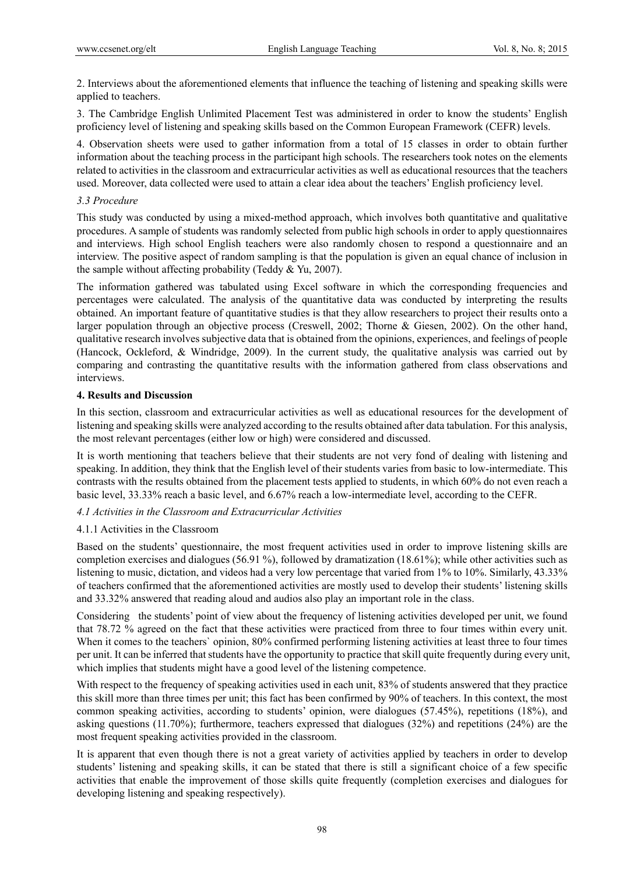2. Interviews about the aforementioned elements that influence the teaching of listening and speaking skills were applied to teachers.

3. The Cambridge English Unlimited Placement Test was administered in order to know the students' English proficiency level of listening and speaking skills based on the Common European Framework (CEFR) levels.

4. Observation sheets were used to gather information from a total of 15 classes in order to obtain further information about the teaching process in the participant high schools. The researchers took notes on the elements related to activities in the classroom and extracurricular activities as well as educational resources that the teachers used. Moreover, data collected were used to attain a clear idea about the teachers' English proficiency level.

## *3.3 Procedure*

This study was conducted by using a mixed-method approach, which involves both quantitative and qualitative procedures. A sample of students was randomly selected from public high schools in order to apply questionnaires and interviews. High school English teachers were also randomly chosen to respond a questionnaire and an interview. The positive aspect of random sampling is that the population is given an equal chance of inclusion in the sample without affecting probability (Teddy & Yu, 2007).

The information gathered was tabulated using Excel software in which the corresponding frequencies and percentages were calculated. The analysis of the quantitative data was conducted by interpreting the results obtained. An important feature of quantitative studies is that they allow researchers to project their results onto a larger population through an objective process (Creswell, 2002; Thorne & Giesen, 2002). On the other hand, qualitative research involves subjective data that is obtained from the opinions, experiences, and feelings of people (Hancock, Ockleford, & Windridge, 2009). In the current study, the qualitative analysis was carried out by comparing and contrasting the quantitative results with the information gathered from class observations and interviews.

## **4. Results and Discussion**

In this section, classroom and extracurricular activities as well as educational resources for the development of listening and speaking skills were analyzed according to the results obtained after data tabulation. For this analysis, the most relevant percentages (either low or high) were considered and discussed.

It is worth mentioning that teachers believe that their students are not very fond of dealing with listening and speaking. In addition, they think that the English level of their students varies from basic to low-intermediate. This contrasts with the results obtained from the placement tests applied to students, in which 60% do not even reach a basic level, 33.33% reach a basic level, and 6.67% reach a low-intermediate level, according to the CEFR.

## *4.1 Activities in the Classroom and Extracurricular Activities*

## 4.1.1 Activities in the Classroom

Based on the students' questionnaire, the most frequent activities used in order to improve listening skills are completion exercises and dialogues (56.91 %), followed by dramatization (18.61%); while other activities such as listening to music, dictation, and videos had a very low percentage that varied from 1% to 10%. Similarly, 43.33% of teachers confirmed that the aforementioned activities are mostly used to develop their students' listening skills and 33.32% answered that reading aloud and audios also play an important role in the class.

Considering the students' point of view about the frequency of listening activities developed per unit, we found that 78.72 % agreed on the fact that these activities were practiced from three to four times within every unit. When it comes to the teachers' opinion, 80% confirmed performing listening activities at least three to four times per unit. It can be inferred that students have the opportunity to practice that skill quite frequently during every unit, which implies that students might have a good level of the listening competence.

With respect to the frequency of speaking activities used in each unit, 83% of students answered that they practice this skill more than three times per unit; this fact has been confirmed by 90% of teachers. In this context, the most common speaking activities, according to students' opinion, were dialogues (57.45%), repetitions (18%), and asking questions (11.70%); furthermore, teachers expressed that dialogues (32%) and repetitions (24%) are the most frequent speaking activities provided in the classroom.

It is apparent that even though there is not a great variety of activities applied by teachers in order to develop students' listening and speaking skills, it can be stated that there is still a significant choice of a few specific activities that enable the improvement of those skills quite frequently (completion exercises and dialogues for developing listening and speaking respectively).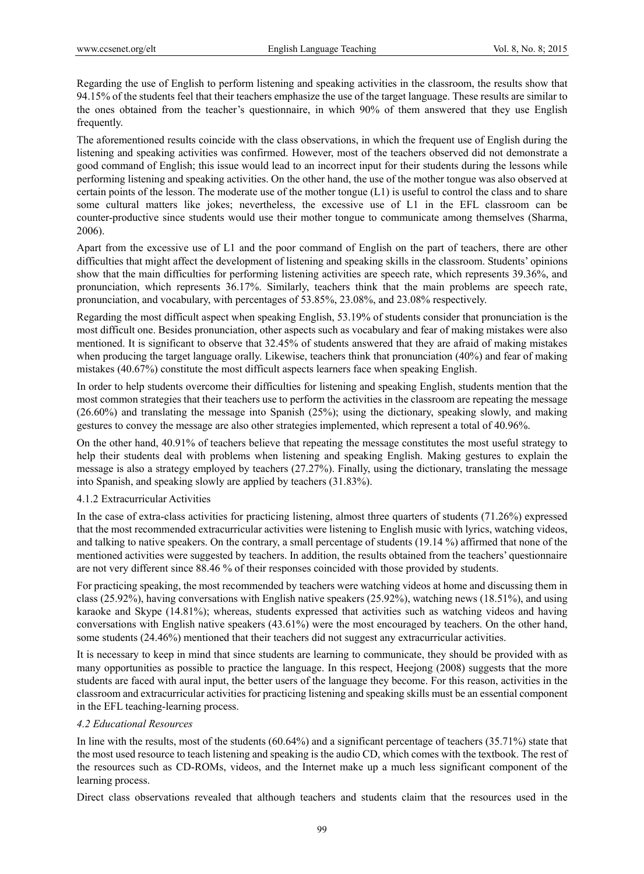Regarding the use of English to perform listening and speaking activities in the classroom, the results show that 94.15% of the students feel that their teachers emphasize the use of the target language. These results are similar to the ones obtained from the teacher's questionnaire, in which 90% of them answered that they use English frequently.

The aforementioned results coincide with the class observations, in which the frequent use of English during the listening and speaking activities was confirmed. However, most of the teachers observed did not demonstrate a good command of English; this issue would lead to an incorrect input for their students during the lessons while performing listening and speaking activities. On the other hand, the use of the mother tongue was also observed at certain points of the lesson. The moderate use of the mother tongue (L1) is useful to control the class and to share some cultural matters like jokes; nevertheless, the excessive use of L1 in the EFL classroom can be counter-productive since students would use their mother tongue to communicate among themselves (Sharma, 2006).

Apart from the excessive use of L1 and the poor command of English on the part of teachers, there are other difficulties that might affect the development of listening and speaking skills in the classroom. Students' opinions show that the main difficulties for performing listening activities are speech rate, which represents 39.36%, and pronunciation, which represents 36.17%. Similarly, teachers think that the main problems are speech rate, pronunciation, and vocabulary, with percentages of 53.85%, 23.08%, and 23.08% respectively.

Regarding the most difficult aspect when speaking English, 53.19% of students consider that pronunciation is the most difficult one. Besides pronunciation, other aspects such as vocabulary and fear of making mistakes were also mentioned. It is significant to observe that 32.45% of students answered that they are afraid of making mistakes when producing the target language orally. Likewise, teachers think that pronunciation (40%) and fear of making mistakes (40.67%) constitute the most difficult aspects learners face when speaking English.

In order to help students overcome their difficulties for listening and speaking English, students mention that the most common strategies that their teachers use to perform the activities in the classroom are repeating the message (26.60%) and translating the message into Spanish (25%); using the dictionary, speaking slowly, and making gestures to convey the message are also other strategies implemented, which represent a total of 40.96%.

On the other hand, 40.91% of teachers believe that repeating the message constitutes the most useful strategy to help their students deal with problems when listening and speaking English. Making gestures to explain the message is also a strategy employed by teachers (27.27%). Finally, using the dictionary, translating the message into Spanish, and speaking slowly are applied by teachers (31.83%).

## 4.1.2 Extracurricular Activities

In the case of extra-class activities for practicing listening, almost three quarters of students (71.26%) expressed that the most recommended extracurricular activities were listening to English music with lyrics, watching videos, and talking to native speakers. On the contrary, a small percentage of students (19.14 %) affirmed that none of the mentioned activities were suggested by teachers. In addition, the results obtained from the teachers' questionnaire are not very different since 88.46 % of their responses coincided with those provided by students.

For practicing speaking, the most recommended by teachers were watching videos at home and discussing them in class (25.92%), having conversations with English native speakers (25.92%), watching news (18.51%), and using karaoke and Skype (14.81%); whereas, students expressed that activities such as watching videos and having conversations with English native speakers (43.61%) were the most encouraged by teachers. On the other hand, some students (24.46%) mentioned that their teachers did not suggest any extracurricular activities.

It is necessary to keep in mind that since students are learning to communicate, they should be provided with as many opportunities as possible to practice the language. In this respect, Heejong (2008) suggests that the more students are faced with aural input, the better users of the language they become. For this reason, activities in the classroom and extracurricular activities for practicing listening and speaking skills must be an essential component in the EFL teaching-learning process.

## *4.2 Educational Resources*

In line with the results, most of the students (60.64%) and a significant percentage of teachers (35.71%) state that the most used resource to teach listening and speaking is the audio CD, which comes with the textbook. The rest of the resources such as CD-ROMs, videos, and the Internet make up a much less significant component of the learning process.

Direct class observations revealed that although teachers and students claim that the resources used in the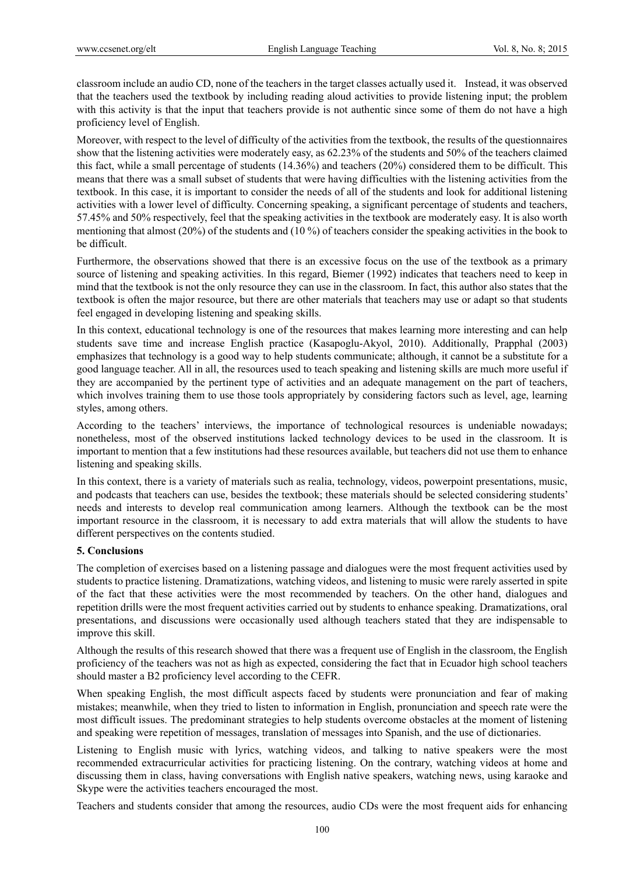classroom include an audio CD, none of the teachers in the target classes actually used it. Instead, it was observed that the teachers used the textbook by including reading aloud activities to provide listening input; the problem with this activity is that the input that teachers provide is not authentic since some of them do not have a high proficiency level of English.

Moreover, with respect to the level of difficulty of the activities from the textbook, the results of the questionnaires show that the listening activities were moderately easy, as 62.23% of the students and 50% of the teachers claimed this fact, while a small percentage of students (14.36%) and teachers (20%) considered them to be difficult. This means that there was a small subset of students that were having difficulties with the listening activities from the textbook. In this case, it is important to consider the needs of all of the students and look for additional listening activities with a lower level of difficulty. Concerning speaking, a significant percentage of students and teachers, 57.45% and 50% respectively, feel that the speaking activities in the textbook are moderately easy. It is also worth mentioning that almost (20%) of the students and (10 %) of teachers consider the speaking activities in the book to be difficult.

Furthermore, the observations showed that there is an excessive focus on the use of the textbook as a primary source of listening and speaking activities. In this regard, Biemer (1992) indicates that teachers need to keep in mind that the textbook is not the only resource they can use in the classroom. In fact, this author also states that the textbook is often the major resource, but there are other materials that teachers may use or adapt so that students feel engaged in developing listening and speaking skills.

In this context, educational technology is one of the resources that makes learning more interesting and can help students save time and increase English practice (Kasapoglu-Akyol, 2010). Additionally, Prapphal (2003) emphasizes that technology is a good way to help students communicate; although, it cannot be a substitute for a good language teacher. All in all, the resources used to teach speaking and listening skills are much more useful if they are accompanied by the pertinent type of activities and an adequate management on the part of teachers, which involves training them to use those tools appropriately by considering factors such as level, age, learning styles, among others.

According to the teachers' interviews, the importance of technological resources is undeniable nowadays; nonetheless, most of the observed institutions lacked technology devices to be used in the classroom. It is important to mention that a few institutions had these resources available, but teachers did not use them to enhance listening and speaking skills.

In this context, there is a variety of materials such as realia, technology, videos, powerpoint presentations, music, and podcasts that teachers can use, besides the textbook; these materials should be selected considering students' needs and interests to develop real communication among learners. Although the textbook can be the most important resource in the classroom, it is necessary to add extra materials that will allow the students to have different perspectives on the contents studied.

## **5. Conclusions**

The completion of exercises based on a listening passage and dialogues were the most frequent activities used by students to practice listening. Dramatizations, watching videos, and listening to music were rarely asserted in spite of the fact that these activities were the most recommended by teachers. On the other hand, dialogues and repetition drills were the most frequent activities carried out by students to enhance speaking. Dramatizations, oral presentations, and discussions were occasionally used although teachers stated that they are indispensable to improve this skill.

Although the results of this research showed that there was a frequent use of English in the classroom, the English proficiency of the teachers was not as high as expected, considering the fact that in Ecuador high school teachers should master a B2 proficiency level according to the CEFR.

When speaking English, the most difficult aspects faced by students were pronunciation and fear of making mistakes; meanwhile, when they tried to listen to information in English, pronunciation and speech rate were the most difficult issues. The predominant strategies to help students overcome obstacles at the moment of listening and speaking were repetition of messages, translation of messages into Spanish, and the use of dictionaries.

Listening to English music with lyrics, watching videos, and talking to native speakers were the most recommended extracurricular activities for practicing listening. On the contrary, watching videos at home and discussing them in class, having conversations with English native speakers, watching news, using karaoke and Skype were the activities teachers encouraged the most.

Teachers and students consider that among the resources, audio CDs were the most frequent aids for enhancing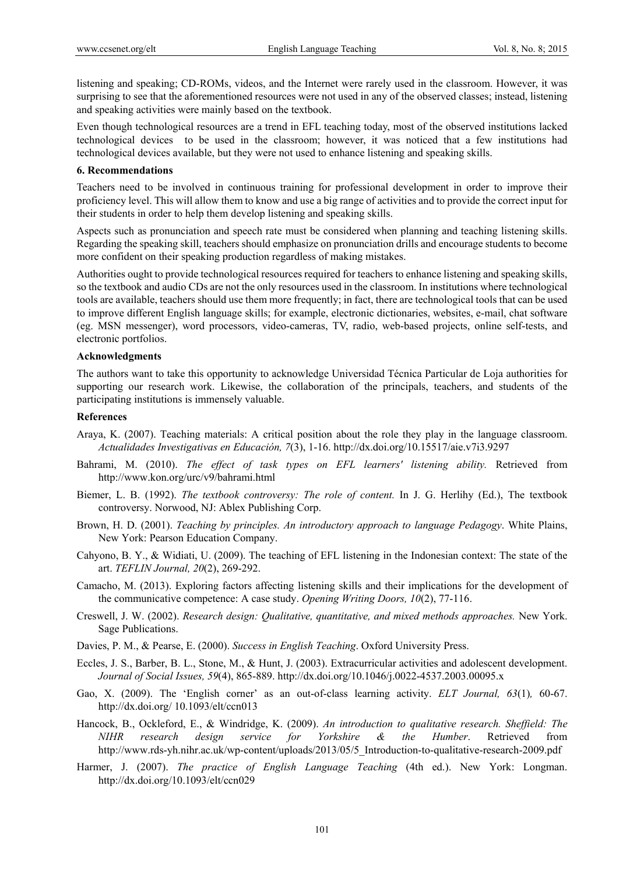listening and speaking; CD-ROMs, videos, and the Internet were rarely used in the classroom. However, it was surprising to see that the aforementioned resources were not used in any of the observed classes; instead, listening and speaking activities were mainly based on the textbook.

Even though technological resources are a trend in EFL teaching today, most of the observed institutions lacked technological devices to be used in the classroom; however, it was noticed that a few institutions had technological devices available, but they were not used to enhance listening and speaking skills.

## **6. Recommendations**

Teachers need to be involved in continuous training for professional development in order to improve their proficiency level. This will allow them to know and use a big range of activities and to provide the correct input for their students in order to help them develop listening and speaking skills.

Aspects such as pronunciation and speech rate must be considered when planning and teaching listening skills. Regarding the speaking skill, teachers should emphasize on pronunciation drills and encourage students to become more confident on their speaking production regardless of making mistakes.

Authorities ought to provide technological resources required for teachers to enhance listening and speaking skills, so the textbook and audio CDs are not the only resources used in the classroom. In institutions where technological tools are available, teachers should use them more frequently; in fact, there are technological tools that can be used to improve different English language skills; for example, electronic dictionaries, websites, e-mail, chat software (eg. MSN messenger), word processors, video-cameras, TV, radio, web-based projects, online self-tests, and electronic portfolios.

## **Acknowledgments**

The authors want to take this opportunity to acknowledge Universidad Técnica Particular de Loja authorities for supporting our research work. Likewise, the collaboration of the principals, teachers, and students of the participating institutions is immensely valuable.

#### **References**

- Araya, K. (2007). Teaching materials: A critical position about the role they play in the language classroom. *Actualidades Investigativas en Educación, 7*(3), 1-16. http://dx.doi.org/10.15517/aie.v7i3.9297
- Bahrami, M. (2010). *The effect of task types on EFL learners' listening ability.* Retrieved from http://www.kon.org/urc/v9/bahrami.html
- Biemer, L. B. (1992). *The textbook controversy: The role of content.* In J. G. Herlihy (Ed.), The textbook controversy. Norwood, NJ: Ablex Publishing Corp.
- Brown, H. D. (2001). *Teaching by principles. An introductory approach to language Pedagogy*. White Plains, New York: Pearson Education Company.
- Cahyono, B. Y., & Widiati, U. (2009). The teaching of EFL listening in the Indonesian context: The state of the art. *TEFLIN Journal, 20*(2), 269-292.
- Camacho, M. (2013). Exploring factors affecting listening skills and their implications for the development of the communicative competence: A case study. *Opening Writing Doors, 10*(2), 77-116.
- Creswell, J. W. (2002). *Research design: Qualitative, quantitative, and mixed methods approaches.* New York. Sage Publications.
- Davies, P. M., & Pearse, E. (2000). *Success in English Teaching*. Oxford University Press.
- Eccles, J. S., Barber, B. L., Stone, M., & Hunt, J. (2003). Extracurricular activities and adolescent development. *Journal of Social Issues, 59*(4), 865-889. http://dx.doi.org/10.1046/j.0022-4537.2003.00095.x
- Gao, X. (2009). The 'English corner' as an out-of-class learning activity. *ELT Journal, 63*(1)*,* 60-67. http://dx.doi.org/ 10.1093/elt/ccn013
- Hancock, B., Ockleford, E., & Windridge, K. (2009). *An introduction to qualitative research. Sheffield: The NIHR research design service for Yorkshire & the Humber*. Retrieved from http://www.rds-yh.nihr.ac.uk/wp-content/uploads/2013/05/5\_Introduction-to-qualitative-research-2009.pdf
- Harmer, J. (2007). *The practice of English Language Teaching* (4th ed.). New York: Longman. http://dx.doi.org/10.1093/elt/ccn029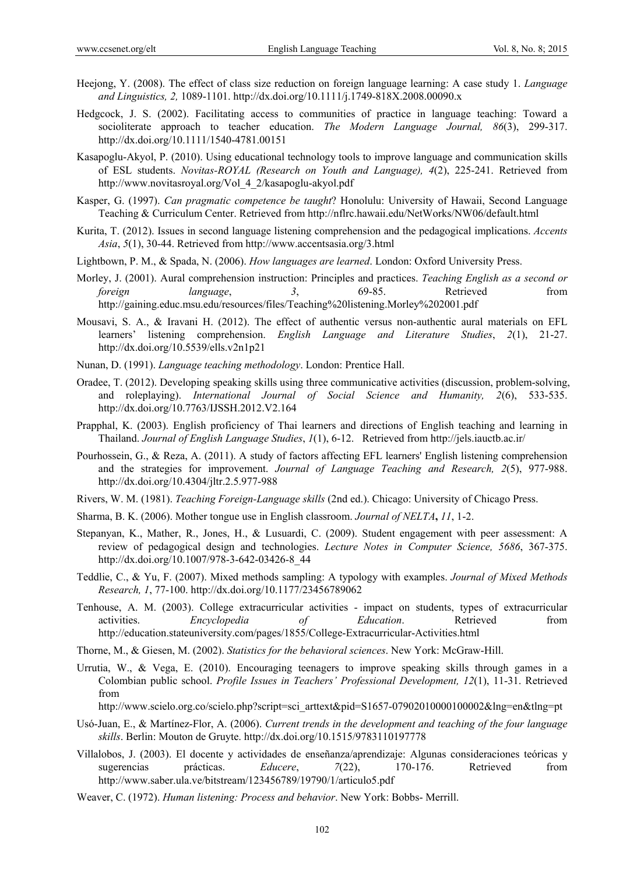- Heejong, Y. (2008). The effect of class size reduction on foreign language learning: A case study 1. *Language and Linguistics, 2,* 1089-1101. http://dx.doi.org/10.1111/j.1749-818X.2008.00090.x
- Hedgcock, J. S. (2002). Facilitating access to communities of practice in language teaching: Toward a socioliterate approach to teacher education. *The Modern Language Journal, 86*(3), 299-317. http://dx.doi.org/10.1111/1540-4781.00151
- Kasapoglu-Akyol, P. (2010). Using educational technology tools to improve language and communication skills of ESL students. *Novitas-ROYAL (Research on Youth and Language), 4*(2), 225-241. Retrieved from http://www.novitasroyal.org/Vol\_4\_2/kasapoglu-akyol.pdf
- Kasper, G. (1997). *Can pragmatic competence be taught*? Honolulu: University of Hawaii, Second Language Teaching & Curriculum Center. Retrieved from http://nflrc.hawaii.edu/NetWorks/NW06/default.html
- Kurita, T. (2012). Issues in second language listening comprehension and the pedagogical implications. *Accents Asia*, *5*(1), 30-44. Retrieved from http://www.accentsasia.org/3.html
- Lightbown, P. M., & Spada, N. (2006). *How languages are learned*. London: Oxford University Press.
- Morley, J. (2001). Aural comprehension instruction: Principles and practices. *Teaching English as a second or foreign language*, *3*, 69-85. Retrieved from http://gaining.educ.msu.edu/resources/files/Teaching%20listening.Morley%202001.pdf
- Mousavi, S. A., & Iravani H. (2012). The effect of authentic versus non-authentic aural materials on EFL learners' listening comprehension. *English Language and Literature Studies*, *2*(1), 21-27. http://dx.doi.org/10.5539/ells.v2n1p21
- Nunan, D. (1991). *Language teaching methodology*. London: Prentice Hall.
- Oradee, T. (2012). Developing speaking skills using three communicative activities (discussion, problem-solving, and roleplaying). *International Journal of Social Science and Humanity, 2*(6), 533-535. http://dx.doi.org/10.7763/IJSSH.2012.V2.164
- Prapphal, K. (2003). English proficiency of Thai learners and directions of English teaching and learning in Thailand. *Journal of English Language Studies*, *1*(1), 6-12. Retrieved from http://jels.iauctb.ac.ir/
- Pourhossein, G., & Reza, A. (2011). A study of factors affecting EFL learners' English listening comprehension and the strategies for improvement. *Journal of Language Teaching and Research, 2*(5), 977-988. http://dx.doi.org/10.4304/jltr.2.5.977-988
- Rivers, W. M. (1981). *Teaching Foreign-Language skills* (2nd ed.). Chicago: University of Chicago Press.
- Sharma, B. K. (2006). Mother tongue use in English classroom. *Journal of NELTA***,** *11*, 1-2.
- Stepanyan, K., Mather, R., Jones, H., & Lusuardi, C. (2009). Student engagement with peer assessment: A review of pedagogical design and technologies. *Lecture Notes in Computer Science, 5686*, 367-375. http://dx.doi.org/10.1007/978-3-642-03426-8\_44
- Teddlie, C., & Yu, F. (2007). Mixed methods sampling: A typology with examples. *Journal of Mixed Methods Research, 1*, 77-100. http://dx.doi.org/10.1177/23456789062
- Tenhouse, A. M. (2003). College extracurricular activities impact on students, types of extracurricular activities. *Encyclopedia of Education*. Retrieved from http://education.stateuniversity.com/pages/1855/College-Extracurricular-Activities.html
- Thorne, M., & Giesen, M. (2002). *Statistics for the behavioral sciences*. New York: McGraw-Hill.
- Urrutia, W., & Vega, E. (2010). Encouraging teenagers to improve speaking skills through games in a Colombian public school. *Profile Issues in Teachers' Professional Development, 12*(1), 11-31. Retrieved from

http://www.scielo.org.co/scielo.php?script=sci\_arttext&pid=S1657-07902010000100002&lng=en&tlng=pt

- Usó-Juan, E., & Martínez-Flor, A. (2006). *Current trends in the development and teaching of the four language skills*. Berlin: Mouton de Gruyte. http://dx.doi.org/10.1515/9783110197778
- Villalobos, J. (2003). El docente y actividades de enseñanza/aprendizaje: Algunas consideraciones teóricas y sugerencias prácticas. *Educere*, *7*(22), 170-176. Retrieved from http://www.saber.ula.ve/bitstream/123456789/19790/1/articulo5.pdf
- Weaver, C. (1972). *Human listening: Process and behavior*. New York: Bobbs- Merrill.